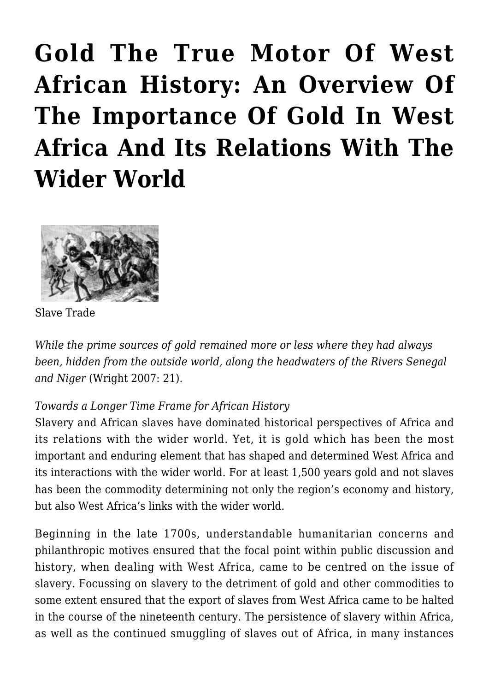# **[Gold The True Motor Of West](https://rozenbergquarterly.com/gold-the-true-motor-of-west-african-history-an-overview-of-the-importance-of-gold-in-west-africa-and-its-relations-with-the-wider-world-2/) [African History: An Overview Of](https://rozenbergquarterly.com/gold-the-true-motor-of-west-african-history-an-overview-of-the-importance-of-gold-in-west-africa-and-its-relations-with-the-wider-world-2/) [The Importance Of Gold In West](https://rozenbergquarterly.com/gold-the-true-motor-of-west-african-history-an-overview-of-the-importance-of-gold-in-west-africa-and-its-relations-with-the-wider-world-2/) [Africa And Its Relations With The](https://rozenbergquarterly.com/gold-the-true-motor-of-west-african-history-an-overview-of-the-importance-of-gold-in-west-africa-and-its-relations-with-the-wider-world-2/) [Wider World](https://rozenbergquarterly.com/gold-the-true-motor-of-west-african-history-an-overview-of-the-importance-of-gold-in-west-africa-and-its-relations-with-the-wider-world-2/)**



Slave Trade

*While the prime sources of gold remained more or less where they had always been, hidden from the outside world, along the headwaters of the Rivers Senegal and Niger* (Wright 2007: 21).

### *Towards a Longer Time Frame for African History*

Slavery and African slaves have dominated historical perspectives of Africa and its relations with the wider world. Yet, it is gold which has been the most important and enduring element that has shaped and determined West Africa and its interactions with the wider world. For at least 1,500 years gold and not slaves has been the commodity determining not only the region's economy and history, but also West Africa's links with the wider world.

Beginning in the late 1700s, understandable humanitarian concerns and philanthropic motives ensured that the focal point within public discussion and history, when dealing with West Africa, came to be centred on the issue of slavery. Focussing on slavery to the detriment of gold and other commodities to some extent ensured that the export of slaves from West Africa came to be halted in the course of the nineteenth century. The persistence of slavery within Africa, as well as the continued smuggling of slaves out of Africa, in many instances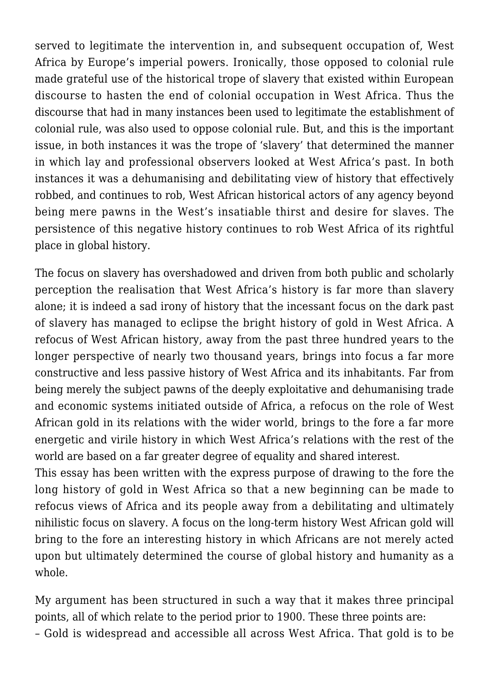served to legitimate the intervention in, and subsequent occupation of, West Africa by Europe's imperial powers. Ironically, those opposed to colonial rule made grateful use of the historical trope of slavery that existed within European discourse to hasten the end of colonial occupation in West Africa. Thus the discourse that had in many instances been used to legitimate the establishment of colonial rule, was also used to oppose colonial rule. But, and this is the important issue, in both instances it was the trope of 'slavery' that determined the manner in which lay and professional observers looked at West Africa's past. In both instances it was a dehumanising and debilitating view of history that effectively robbed, and continues to rob, West African historical actors of any agency beyond being mere pawns in the West's insatiable thirst and desire for slaves. The persistence of this negative history continues to rob West Africa of its rightful place in global history.

The focus on slavery has overshadowed and driven from both public and scholarly perception the realisation that West Africa's history is far more than slavery alone; it is indeed a sad irony of history that the incessant focus on the dark past of slavery has managed to eclipse the bright history of gold in West Africa. A refocus of West African history, away from the past three hundred years to the longer perspective of nearly two thousand years, brings into focus a far more constructive and less passive history of West Africa and its inhabitants. Far from being merely the subject pawns of the deeply exploitative and dehumanising trade and economic systems initiated outside of Africa, a refocus on the role of West African gold in its relations with the wider world, brings to the fore a far more energetic and virile history in which West Africa's relations with the rest of the world are based on a far greater degree of equality and shared interest.

This essay has been written with the express purpose of drawing to the fore the long history of gold in West Africa so that a new beginning can be made to refocus views of Africa and its people away from a debilitating and ultimately nihilistic focus on slavery. A focus on the long-term history West African gold will bring to the fore an interesting history in which Africans are not merely acted upon but ultimately determined the course of global history and humanity as a whole.

My argument has been structured in such a way that it makes three principal points, all of which relate to the period prior to 1900. These three points are: – Gold is widespread and accessible all across West Africa. That gold is to be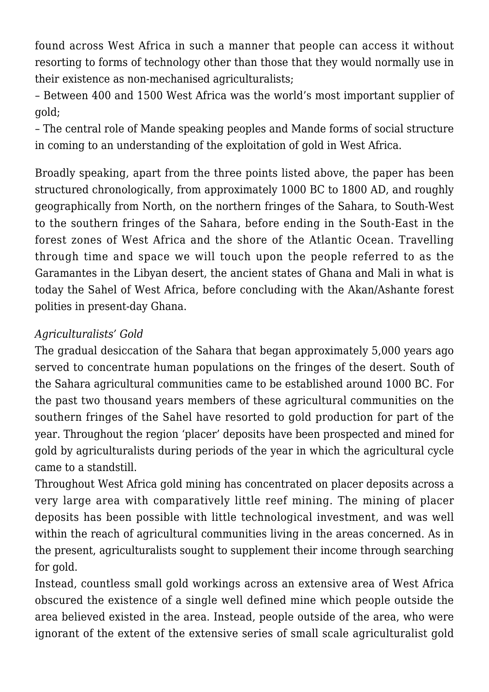found across West Africa in such a manner that people can access it without resorting to forms of technology other than those that they would normally use in their existence as non-mechanised agriculturalists;

– Between 400 and 1500 West Africa was the world's most important supplier of gold;

– The central role of Mande speaking peoples and Mande forms of social structure in coming to an understanding of the exploitation of gold in West Africa.

Broadly speaking, apart from the three points listed above, the paper has been structured chronologically, from approximately 1000 BC to 1800 AD, and roughly geographically from North, on the northern fringes of the Sahara, to South-West to the southern fringes of the Sahara, before ending in the South-East in the forest zones of West Africa and the shore of the Atlantic Ocean. Travelling through time and space we will touch upon the people referred to as the Garamantes in the Libyan desert, the ancient states of Ghana and Mali in what is today the Sahel of West Africa, before concluding with the Akan/Ashante forest polities in present-day Ghana.

## *Agriculturalists' Gold*

The gradual desiccation of the Sahara that began approximately 5,000 years ago served to concentrate human populations on the fringes of the desert. South of the Sahara agricultural communities came to be established around 1000 BC. For the past two thousand years members of these agricultural communities on the southern fringes of the Sahel have resorted to gold production for part of the year. Throughout the region 'placer' deposits have been prospected and mined for gold by agriculturalists during periods of the year in which the agricultural cycle came to a standstill.

Throughout West Africa gold mining has concentrated on placer deposits across a very large area with comparatively little reef mining. The mining of placer deposits has been possible with little technological investment, and was well within the reach of agricultural communities living in the areas concerned. As in the present, agriculturalists sought to supplement their income through searching for gold.

Instead, countless small gold workings across an extensive area of West Africa obscured the existence of a single well defined mine which people outside the area believed existed in the area. Instead, people outside of the area, who were ignorant of the extent of the extensive series of small scale agriculturalist gold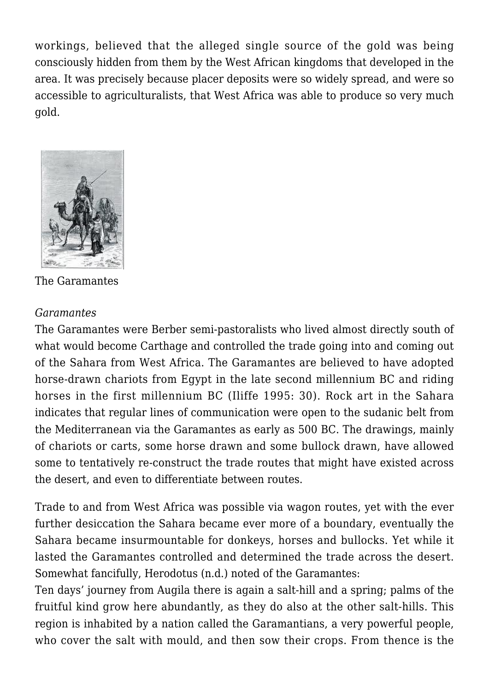workings, believed that the alleged single source of the gold was being consciously hidden from them by the West African kingdoms that developed in the area. It was precisely because placer deposits were so widely spread, and were so accessible to agriculturalists, that West Africa was able to produce so very much gold.



The Garamantes

### *Garamantes*

The Garamantes were Berber semi-pastoralists who lived almost directly south of what would become Carthage and controlled the trade going into and coming out of the Sahara from West Africa. The Garamantes are believed to have adopted horse-drawn chariots from Egypt in the late second millennium BC and riding horses in the first millennium BC (Iliffe 1995: 30). Rock art in the Sahara indicates that regular lines of communication were open to the sudanic belt from the Mediterranean via the Garamantes as early as 500 BC. The drawings, mainly of chariots or carts, some horse drawn and some bullock drawn, have allowed some to tentatively re-construct the trade routes that might have existed across the desert, and even to differentiate between routes.

Trade to and from West Africa was possible via wagon routes, yet with the ever further desiccation the Sahara became ever more of a boundary, eventually the Sahara became insurmountable for donkeys, horses and bullocks. Yet while it lasted the Garamantes controlled and determined the trade across the desert. Somewhat fancifully, Herodotus (n.d.) noted of the Garamantes:

Ten days' journey from Augila there is again a salt-hill and a spring; palms of the fruitful kind grow here abundantly, as they do also at the other salt-hills. This region is inhabited by a nation called the Garamantians, a very powerful people, who cover the salt with mould, and then sow their crops. From thence is the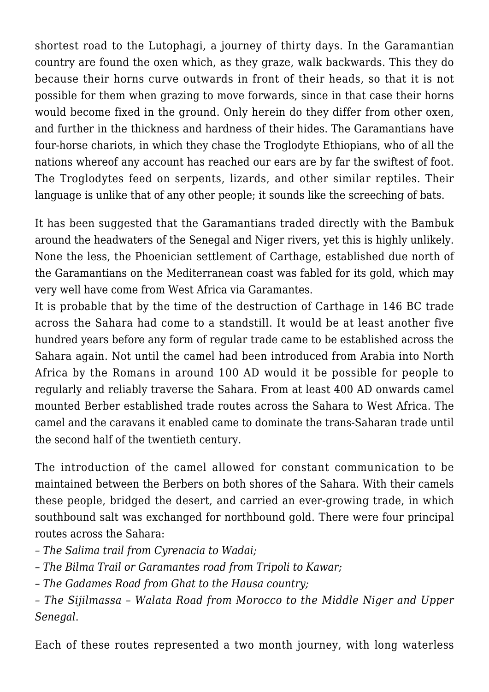shortest road to the Lutophagi, a journey of thirty days. In the Garamantian country are found the oxen which, as they graze, walk backwards. This they do because their horns curve outwards in front of their heads, so that it is not possible for them when grazing to move forwards, since in that case their horns would become fixed in the ground. Only herein do they differ from other oxen, and further in the thickness and hardness of their hides. The Garamantians have four-horse chariots, in which they chase the Troglodyte Ethiopians, who of all the nations whereof any account has reached our ears are by far the swiftest of foot. The Troglodytes feed on serpents, lizards, and other similar reptiles. Their language is unlike that of any other people; it sounds like the screeching of bats.

It has been suggested that the Garamantians traded directly with the Bambuk around the headwaters of the Senegal and Niger rivers, yet this is highly unlikely. None the less, the Phoenician settlement of Carthage, established due north of the Garamantians on the Mediterranean coast was fabled for its gold, which may very well have come from West Africa via Garamantes.

It is probable that by the time of the destruction of Carthage in 146 BC trade across the Sahara had come to a standstill. It would be at least another five hundred years before any form of regular trade came to be established across the Sahara again. Not until the camel had been introduced from Arabia into North Africa by the Romans in around 100 AD would it be possible for people to regularly and reliably traverse the Sahara. From at least 400 AD onwards camel mounted Berber established trade routes across the Sahara to West Africa. The camel and the caravans it enabled came to dominate the trans-Saharan trade until the second half of the twentieth century.

The introduction of the camel allowed for constant communication to be maintained between the Berbers on both shores of the Sahara. With their camels these people, bridged the desert, and carried an ever-growing trade, in which southbound salt was exchanged for northbound gold. There were four principal routes across the Sahara:

*– The Salima trail from Cyrenacia to Wadai;*

*– The Bilma Trail or Garamantes road from Tripoli to Kawar;*

*– The Gadames Road from Ghat to the Hausa country;*

*– The Sijilmassa – Walata Road from Morocco to the Middle Niger and Upper Senegal*.

Each of these routes represented a two month journey, with long waterless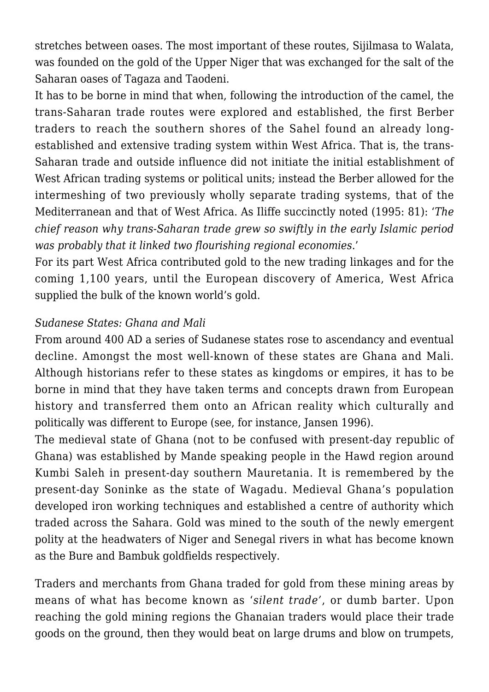stretches between oases. The most important of these routes, Sijilmasa to Walata, was founded on the gold of the Upper Niger that was exchanged for the salt of the Saharan oases of Tagaza and Taodeni.

It has to be borne in mind that when, following the introduction of the camel, the trans-Saharan trade routes were explored and established, the first Berber traders to reach the southern shores of the Sahel found an already longestablished and extensive trading system within West Africa. That is, the trans-Saharan trade and outside influence did not initiate the initial establishment of West African trading systems or political units; instead the Berber allowed for the intermeshing of two previously wholly separate trading systems, that of the Mediterranean and that of West Africa. As Iliffe succinctly noted (1995: 81): '*The chief reason why trans-Saharan trade grew so swiftly in the early Islamic period was probably that it linked two flourishing regional economies*.'

For its part West Africa contributed gold to the new trading linkages and for the coming 1,100 years, until the European discovery of America, West Africa supplied the bulk of the known world's gold.

### *Sudanese States: Ghana and Mali*

From around 400 AD a series of Sudanese states rose to ascendancy and eventual decline. Amongst the most well-known of these states are Ghana and Mali. Although historians refer to these states as kingdoms or empires, it has to be borne in mind that they have taken terms and concepts drawn from European history and transferred them onto an African reality which culturally and politically was different to Europe (see, for instance, Jansen 1996).

The medieval state of Ghana (not to be confused with present-day republic of Ghana) was established by Mande speaking people in the Hawd region around Kumbi Saleh in present-day southern Mauretania. It is remembered by the present-day Soninke as the state of Wagadu. Medieval Ghana's population developed iron working techniques and established a centre of authority which traded across the Sahara. Gold was mined to the south of the newly emergent polity at the headwaters of Niger and Senegal rivers in what has become known as the Bure and Bambuk goldfields respectively.

Traders and merchants from Ghana traded for gold from these mining areas by means of what has become known as '*silent trade'*, or dumb barter. Upon reaching the gold mining regions the Ghanaian traders would place their trade goods on the ground, then they would beat on large drums and blow on trumpets,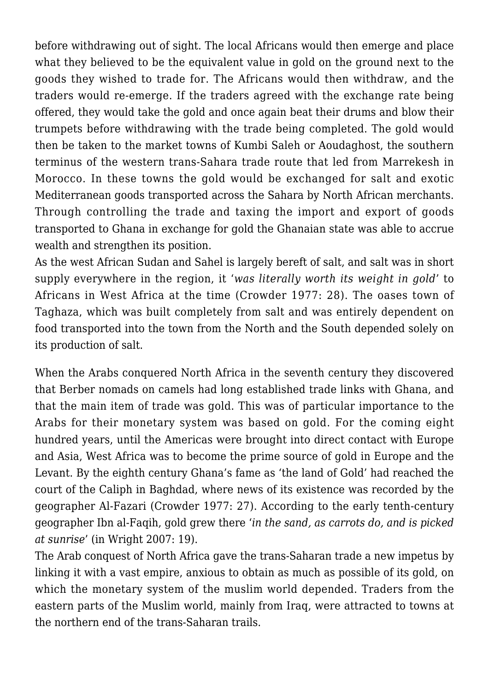before withdrawing out of sight. The local Africans would then emerge and place what they believed to be the equivalent value in gold on the ground next to the goods they wished to trade for. The Africans would then withdraw, and the traders would re-emerge. If the traders agreed with the exchange rate being offered, they would take the gold and once again beat their drums and blow their trumpets before withdrawing with the trade being completed. The gold would then be taken to the market towns of Kumbi Saleh or Aoudaghost, the southern terminus of the western trans-Sahara trade route that led from Marrekesh in Morocco. In these towns the gold would be exchanged for salt and exotic Mediterranean goods transported across the Sahara by North African merchants. Through controlling the trade and taxing the import and export of goods transported to Ghana in exchange for gold the Ghanaian state was able to accrue wealth and strengthen its position.

As the west African Sudan and Sahel is largely bereft of salt, and salt was in short supply everywhere in the region, it '*was literally worth its weight in gold*' to Africans in West Africa at the time (Crowder 1977: 28). The oases town of Taghaza, which was built completely from salt and was entirely dependent on food transported into the town from the North and the South depended solely on its production of salt.

When the Arabs conquered North Africa in the seventh century they discovered that Berber nomads on camels had long established trade links with Ghana, and that the main item of trade was gold. This was of particular importance to the Arabs for their monetary system was based on gold. For the coming eight hundred years, until the Americas were brought into direct contact with Europe and Asia, West Africa was to become the prime source of gold in Europe and the Levant. By the eighth century Ghana's fame as 'the land of Gold' had reached the court of the Caliph in Baghdad, where news of its existence was recorded by the geographer Al-Fazari (Crowder 1977: 27). According to the early tenth-century geographer Ibn al-Faqih, gold grew there '*in the sand, as carrots do, and is picked at sunrise*' (in Wright 2007: 19).

The Arab conquest of North Africa gave the trans-Saharan trade a new impetus by linking it with a vast empire, anxious to obtain as much as possible of its gold, on which the monetary system of the muslim world depended. Traders from the eastern parts of the Muslim world, mainly from Iraq, were attracted to towns at the northern end of the trans-Saharan trails.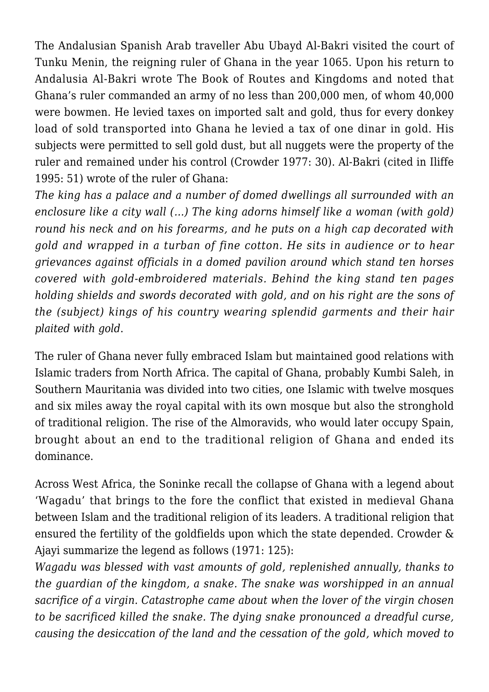The Andalusian Spanish Arab traveller Abu Ubayd Al-Bakri visited the court of Tunku Menin, the reigning ruler of Ghana in the year 1065. Upon his return to Andalusia Al-Bakri wrote The Book of Routes and Kingdoms and noted that Ghana's ruler commanded an army of no less than 200,000 men, of whom 40,000 were bowmen. He levied taxes on imported salt and gold, thus for every donkey load of sold transported into Ghana he levied a tax of one dinar in gold. His subjects were permitted to sell gold dust, but all nuggets were the property of the ruler and remained under his control (Crowder 1977: 30). Al-Bakri (cited in Iliffe 1995: 51) wrote of the ruler of Ghana:

*The king has a palace and a number of domed dwellings all surrounded with an enclosure like a city wall (…) The king adorns himself like a woman (with gold) round his neck and on his forearms, and he puts on a high cap decorated with gold and wrapped in a turban of fine cotton. He sits in audience or to hear grievances against officials in a domed pavilion around which stand ten horses covered with gold-embroidered materials. Behind the king stand ten pages holding shields and swords decorated with gold, and on his right are the sons of the (subject) kings of his country wearing splendid garments and their hair plaited with gold*.

The ruler of Ghana never fully embraced Islam but maintained good relations with Islamic traders from North Africa. The capital of Ghana, probably Kumbi Saleh, in Southern Mauritania was divided into two cities, one Islamic with twelve mosques and six miles away the royal capital with its own mosque but also the stronghold of traditional religion. The rise of the Almoravids, who would later occupy Spain, brought about an end to the traditional religion of Ghana and ended its dominance.

Across West Africa, the Soninke recall the collapse of Ghana with a legend about 'Wagadu' that brings to the fore the conflict that existed in medieval Ghana between Islam and the traditional religion of its leaders. A traditional religion that ensured the fertility of the goldfields upon which the state depended. Crowder & Ajayi summarize the legend as follows (1971: 125):

*Wagadu was blessed with vast amounts of gold, replenished annually, thanks to the guardian of the kingdom, a snake. The snake was worshipped in an annual sacrifice of a virgin. Catastrophe came about when the lover of the virgin chosen to be sacrificed killed the snake. The dying snake pronounced a dreadful curse, causing the desiccation of the land and the cessation of the gold, which moved to*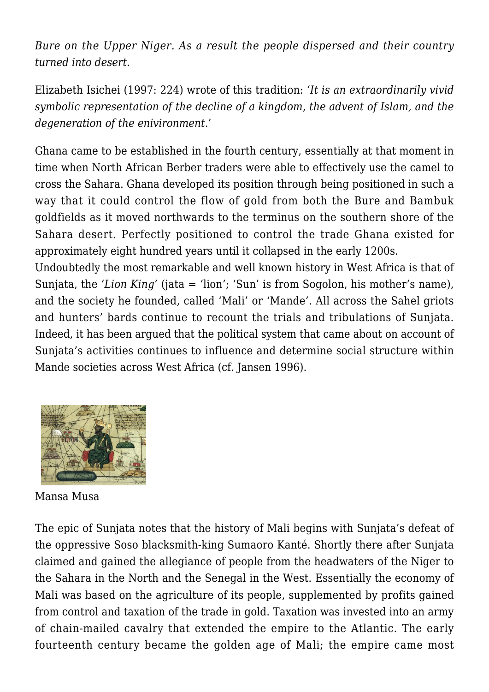*Bure on the Upper Niger. As a result the people dispersed and their country turned into desert.*

Elizabeth Isichei (1997: 224) wrote of this tradition: *'It is an extraordinarily vivid symbolic representation of the decline of a kingdom, the advent of Islam, and the degeneration of the enivironment.*'

Ghana came to be established in the fourth century, essentially at that moment in time when North African Berber traders were able to effectively use the camel to cross the Sahara. Ghana developed its position through being positioned in such a way that it could control the flow of gold from both the Bure and Bambuk goldfields as it moved northwards to the terminus on the southern shore of the Sahara desert. Perfectly positioned to control the trade Ghana existed for approximately eight hundred years until it collapsed in the early 1200s.

Undoubtedly the most remarkable and well known history in West Africa is that of Sunjata, the '*Lion King'* (jata = 'lion'; 'Sun' is from Sogolon, his mother's name), and the society he founded, called 'Mali' or 'Mande'. All across the Sahel griots and hunters' bards continue to recount the trials and tribulations of Sunjata. Indeed, it has been argued that the political system that came about on account of Sunjata's activities continues to influence and determine social structure within Mande societies across West Africa (cf. Jansen 1996).



Mansa Musa

The epic of Sunjata notes that the history of Mali begins with Sunjata's defeat of the oppressive Soso blacksmith-king Sumaoro Kanté. Shortly there after Sunjata claimed and gained the allegiance of people from the headwaters of the Niger to the Sahara in the North and the Senegal in the West. Essentially the economy of Mali was based on the agriculture of its people, supplemented by profits gained from control and taxation of the trade in gold. Taxation was invested into an army of chain-mailed cavalry that extended the empire to the Atlantic. The early fourteenth century became the golden age of Mali; the empire came most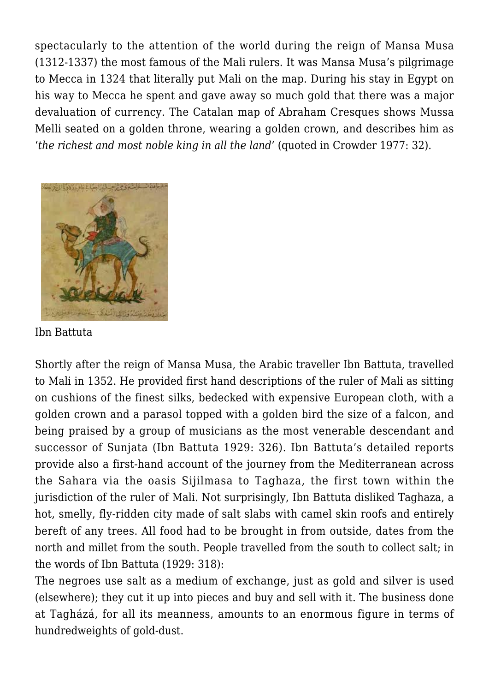spectacularly to the attention of the world during the reign of Mansa Musa (1312-1337) the most famous of the Mali rulers. It was Mansa Musa's pilgrimage to Mecca in 1324 that literally put Mali on the map. During his stay in Egypt on his way to Mecca he spent and gave away so much gold that there was a major devaluation of currency. The Catalan map of Abraham Cresques shows Mussa Melli seated on a golden throne, wearing a golden crown, and describes him as '*the richest and most noble king in all the land*' (quoted in Crowder 1977: 32).



Ibn Battuta

Shortly after the reign of Mansa Musa, the Arabic traveller Ibn Battuta, travelled to Mali in 1352. He provided first hand descriptions of the ruler of Mali as sitting on cushions of the finest silks, bedecked with expensive European cloth, with a golden crown and a parasol topped with a golden bird the size of a falcon, and being praised by a group of musicians as the most venerable descendant and successor of Sunjata (Ibn Battuta 1929: 326). Ibn Battuta's detailed reports provide also a first-hand account of the journey from the Mediterranean across the Sahara via the oasis Sijilmasa to Taghaza, the first town within the jurisdiction of the ruler of Mali. Not surprisingly, Ibn Battuta disliked Taghaza, a hot, smelly, fly-ridden city made of salt slabs with camel skin roofs and entirely bereft of any trees. All food had to be brought in from outside, dates from the north and millet from the south. People travelled from the south to collect salt; in the words of Ibn Battuta (1929: 318):

The negroes use salt as a medium of exchange, just as gold and silver is used (elsewhere); they cut it up into pieces and buy and sell with it. The business done at Tagházá, for all its meanness, amounts to an enormous figure in terms of hundredweights of gold-dust.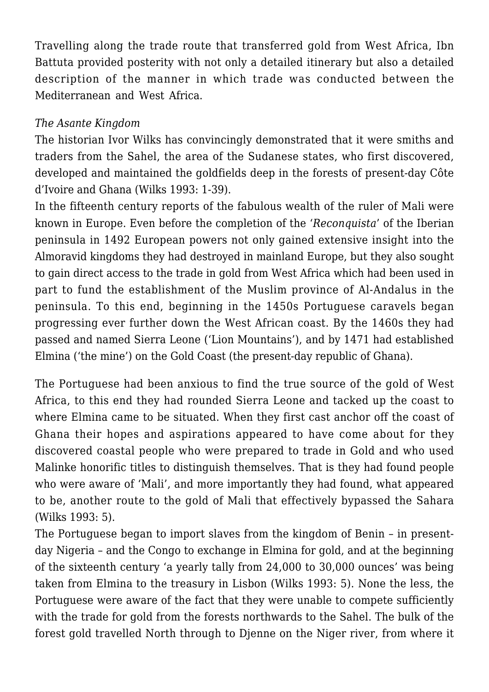Travelling along the trade route that transferred gold from West Africa, Ibn Battuta provided posterity with not only a detailed itinerary but also a detailed description of the manner in which trade was conducted between the Mediterranean and West Africa.

#### *The Asante Kingdom*

The historian Ivor Wilks has convincingly demonstrated that it were smiths and traders from the Sahel, the area of the Sudanese states, who first discovered, developed and maintained the goldfields deep in the forests of present-day Côte d'Ivoire and Ghana (Wilks 1993: 1-39).

In the fifteenth century reports of the fabulous wealth of the ruler of Mali were known in Europe. Even before the completion of the '*Reconquista*' of the Iberian peninsula in 1492 European powers not only gained extensive insight into the Almoravid kingdoms they had destroyed in mainland Europe, but they also sought to gain direct access to the trade in gold from West Africa which had been used in part to fund the establishment of the Muslim province of Al-Andalus in the peninsula. To this end, beginning in the 1450s Portuguese caravels began progressing ever further down the West African coast. By the 1460s they had passed and named Sierra Leone ('Lion Mountains'), and by 1471 had established Elmina ('the mine') on the Gold Coast (the present-day republic of Ghana).

The Portuguese had been anxious to find the true source of the gold of West Africa, to this end they had rounded Sierra Leone and tacked up the coast to where Elmina came to be situated. When they first cast anchor off the coast of Ghana their hopes and aspirations appeared to have come about for they discovered coastal people who were prepared to trade in Gold and who used Malinke honorific titles to distinguish themselves. That is they had found people who were aware of 'Mali', and more importantly they had found, what appeared to be, another route to the gold of Mali that effectively bypassed the Sahara (Wilks 1993: 5).

The Portuguese began to import slaves from the kingdom of Benin – in presentday Nigeria – and the Congo to exchange in Elmina for gold, and at the beginning of the sixteenth century 'a yearly tally from 24,000 to 30,000 ounces' was being taken from Elmina to the treasury in Lisbon (Wilks 1993: 5). None the less, the Portuguese were aware of the fact that they were unable to compete sufficiently with the trade for gold from the forests northwards to the Sahel. The bulk of the forest gold travelled North through to Djenne on the Niger river, from where it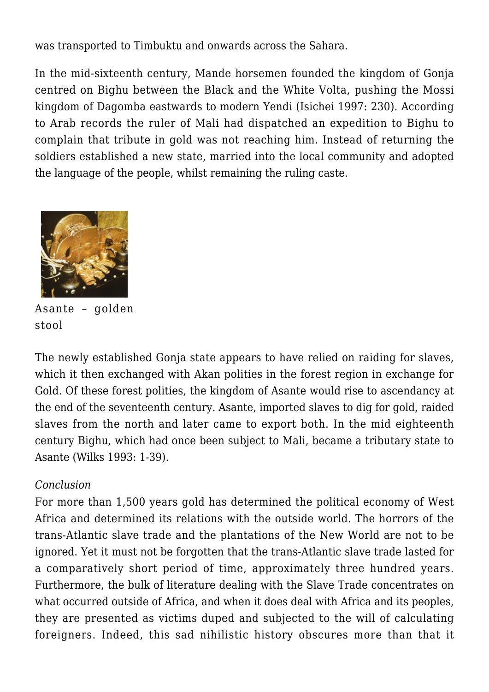was transported to Timbuktu and onwards across the Sahara.

In the mid-sixteenth century, Mande horsemen founded the kingdom of Gonja centred on Bighu between the Black and the White Volta, pushing the Mossi kingdom of Dagomba eastwards to modern Yendi (Isichei 1997: 230). According to Arab records the ruler of Mali had dispatched an expedition to Bighu to complain that tribute in gold was not reaching him. Instead of returning the soldiers established a new state, married into the local community and adopted the language of the people, whilst remaining the ruling caste.



Asante – golden stool

The newly established Gonja state appears to have relied on raiding for slaves, which it then exchanged with Akan polities in the forest region in exchange for Gold. Of these forest polities, the kingdom of Asante would rise to ascendancy at the end of the seventeenth century. Asante, imported slaves to dig for gold, raided slaves from the north and later came to export both. In the mid eighteenth century Bighu, which had once been subject to Mali, became a tributary state to Asante (Wilks 1993: 1-39).

#### *Conclusion*

For more than 1,500 years gold has determined the political economy of West Africa and determined its relations with the outside world. The horrors of the trans-Atlantic slave trade and the plantations of the New World are not to be ignored. Yet it must not be forgotten that the trans-Atlantic slave trade lasted for a comparatively short period of time, approximately three hundred years. Furthermore, the bulk of literature dealing with the Slave Trade concentrates on what occurred outside of Africa, and when it does deal with Africa and its peoples, they are presented as victims duped and subjected to the will of calculating foreigners. Indeed, this sad nihilistic history obscures more than that it